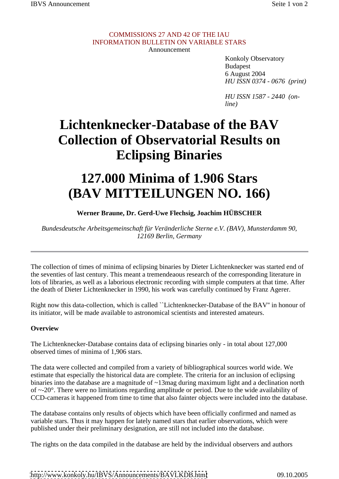### COMMISSIONS 27 AND 42 OF THE IAU INFORMATION BULLETIN ON VARIABLE STARS Announcement **Announcement**

Konkoly Observatory Budapest 6 August 2004 *HU ISSN 0374 - 0676 (print)*

*HU ISSN 1587 - 2440 (online)*

## **Lichtenknecker-Database of the BAV Collection of Observatorial Results on Eclipsing Binaries**

# **127.000 Minima of 1.906 Stars (BAV MITTEILUNGEN NO. 166)**

### **Werner Braune, Dr. Gerd-Uwe Flechsig, Joachim HÜBSCHER**

*Bundesdeutsche Arbeitsgemeinschaft für Veränderliche Sterne e.V. (BAV), Munsterdamm 90, 12169 Berlin, Germany*

The collection of times of minima of eclipsing binaries by Dieter Lichtenknecker was started end of the seventies of last century. This meant a tremendeaous research of the corresponding literature in lots of libraries, as well as a laborious electronic recording with simple computers at that time. After the death of Dieter Lichtenknecker in 1990, his work was carefully continued by Franz Agerer.

Right now this data-collection, which is called ``Lichtenknecker-Database of the BAV'' in honour of its initiator, will be made available to astronomical scientists and interested amateurs.

### **Overview**

The Lichtenknecker-Database contains data of eclipsing binaries only - in total about 127,000 observed times of minima of 1,906 stars.

The data were collected and compiled from a variety of bibliographical sources world wide. We estimate that especially the historical data are complete. The criteria for an inclusion of eclipsing binaries into the database are a magnitude of ~13mag during maximum light and a declination north of ~-20°. There were no limitations regarding amplitude or period. Due to the wide availability of CCD-cameras it happened from time to time that also fainter objects were included into the database.

The database contains only results of objects which have been officially confirmed and named as variable stars. Thus it may happen for lately named stars that earlier observations, which were published under their preliminary designation, are still not included into the database.

The rights on the data compiled in the database are held by the individual observers and authors